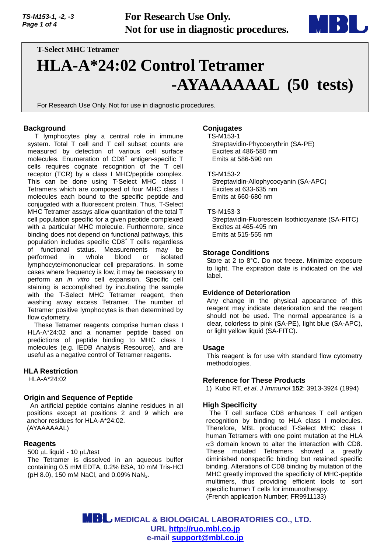*TS-M153-1, -2, -3 Page 1 of 4*

**For Research Use Only. Not for use in diagnostic procedures.**



# **T-Select MHC Tetramer HLA-A\*24:02 Control Tetramer -AYAAAAAAL (50 tests)**

For Research Use Only. Not for use in diagnostic procedures.

## **Background**

T lymphocytes play a central role in immune system. Total T cell and T cell subset counts are measured by detection of various cell surface molecules. Enumeration of CD8<sup>+</sup> antigen-specific T cells requires cognate recognition of the T cell receptor (TCR) by a class I MHC/peptide complex. This can be done using T-Select MHC class I Tetramers which are composed of four MHC class I molecules each bound to the specific peptide and conjugated with a fluorescent protein. Thus, T-Select MHC Tetramer assays allow quantitation of the total T cell population specific for a given peptide complexed with a particular MHC molecule. Furthermore, since binding does not depend on functional pathways, this population includes specific CD8<sup>+</sup> T cells regardless of functional status. Measurements may be performed in whole blood or isolated lymphocyte/mononuclear cell preparations. In some cases where frequency is low, it may be necessary to perform an *in vitro* cell expansion. Specific cell staining is accomplished by incubating the sample with the T-Select MHC Tetramer reagent, then washing away excess Tetramer. The number of Tetramer positive lymphocytes is then determined by flow cytometry.

These Tetramer reagents comprise human class I HLA-A\*24:02 and a nonamer peptide based on predictions of peptide binding to MHC class I molecules (e.g. IEDB Analysis Resource), and are useful as a negative control of Tetramer reagents.

## **HLA Restriction**

HLA-A\*24:02

## **Origin and Sequence of Peptide**

An artificial peptide contains alanine residues in all positions except at positions 2 and 9 which are anchor residues for HLA-A\*24:02. (AYAAAAAAL)

#### **Reagents**

 $500 \mu L$  liquid - 10  $\mu L$ /test

The Tetramer is dissolved in an aqueous buffer containing 0.5 mM EDTA, 0.2% BSA, 10 mM Tris-HCl (pH 8.0), 150 mM NaCl, and 0.09% NaN<sub>3</sub>.

## **Conjugates**

#### TS-M153-1

Streptavidin-Phycoerythrin (SA-PE) Excites at 486-580 nm Emits at 586-590 nm

#### TS-M153-2

Streptavidin-Allophycocyanin (SA-APC) Excites at 633-635 nm Emits at 660-680 nm

#### TS-M153-3

Streptavidin-Fluorescein Isothiocyanate (SA-FITC) Excites at 465-495 nm Emits at 515-555 nm

## **Storage Conditions**

Store at 2 to 8°C. Do not freeze. Minimize exposure to light. The expiration date is indicated on the vial label.

#### **Evidence of Deterioration**

Any change in the physical appearance of this reagent may indicate deterioration and the reagent should not be used. The normal appearance is a clear, colorless to pink (SA-PE), light blue (SA-APC), or light yellow liquid (SA-FITC).

#### **Usage**

This reagent is for use with standard flow cytometry methodologies.

#### **Reference for These Products**

1) Kubo RT, *et al*. *J Immunol* **152**: 3913-3924 (1994)

## **High Specificity**

The T cell surface CD8 enhances T cell antigen recognition by binding to HLA class I molecules. Therefore, MBL produced T-Select MHC class I human Tetramers with one point mutation at the HLA  $\alpha$ 3 domain known to alter the interaction with CD8. These mutated Tetramers showed a greatly diminished nonspecific binding but retained specific binding. Alterations of CD8 binding by mutation of the MHC greatly improved the specificity of MHC-peptide multimers, thus providing efficient tools to sort specific human T cells for immunotherapy. (French application Number; FR9911133)

 **MEDICAL & BIOLOGICAL LABORATORIES CO., LTD. URL [http://ruo.mbl.co.jp](https://ruo.mbl.co.jp/) e-mail [support@mbl.co.jp](mailto:support@mbl.co.jp)**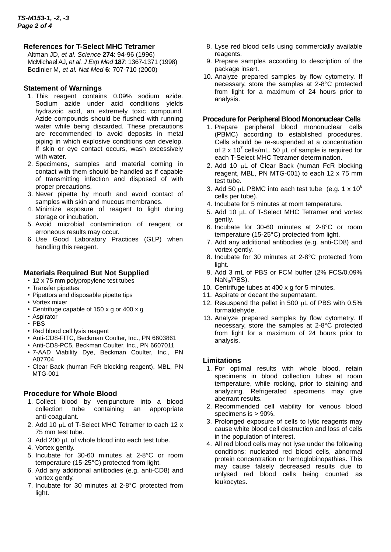# **References for T-Select MHC Tetramer**

Altman JD, *et al. Science* **274**: 94-96 (1996) McMichael AJ, *et al. J Exp Med* **187**: 1367-1371 (1998) Bodinier M, *et al. Nat Med* **6**: 707-710 (2000)

## **Statement of Warnings**

- 1. This reagent contains 0.09% sodium azide. Sodium azide under acid conditions yields hydrazoic acid, an extremely toxic compound. Azide compounds should be flushed with running water while being discarded. These precautions are recommended to avoid deposits in metal piping in which explosive conditions can develop. If skin or eye contact occurs, wash excessively with water.
- 2. Specimens, samples and material coming in contact with them should be handled as if capable of transmitting infection and disposed of with proper precautions.
- 3. Never pipette by mouth and avoid contact of samples with skin and mucous membranes.
- 4. Minimize exposure of reagent to light during storage or incubation.
- 5. Avoid microbial contamination of reagent or erroneous results may occur.
- 6. Use Good Laboratory Practices (GLP) when handling this reagent.

# **Materials Required But Not Supplied**

- 12 x 75 mm polypropylene test tubes
- Transfer pipettes
- Pipettors and disposable pipette tips
- Vortex mixer
- Centrifuge capable of 150 x g or 400 x g
- Aspirator
- PBS
- Red blood cell lysis reagent
- Anti-CD8-FITC, Beckman Coulter, Inc., PN 6603861
- Anti-CD8-PC5, Beckman Coulter, Inc., PN 6607011
- 7-AAD Viability Dye, Beckman Coulter, Inc., PN A07704
- Clear Back (human FcR blocking reagent), MBL, PN MTG-001

# **Procedure for Whole Blood**

- 1. Collect blood by venipuncture into a blood collection tube containing an appropriate anti-coagulant.
- 2. Add 10  $\mu$ L of T-Select MHC Tetramer to each 12 x 75 mm test tube.
- 3. Add 200  $\mu$ L of whole blood into each test tube.
- 4. Vortex gently.
- 5. Incubate for 30-60 minutes at 2-8°C or room temperature (15-25°C) protected from light.
- 6. Add any additional antibodies (e.g. anti-CD8) and vortex gently.
- 7. Incubate for 30 minutes at 2-8°C protected from light.
- 8. Lyse red blood cells using commercially available reagents.
- 9. Prepare samples according to description of the package insert.
- 10. Analyze prepared samples by flow cytometry. If necessary, store the samples at 2-8°C protected from light for a maximum of 24 hours prior to analysis.

## **Procedure for Peripheral Blood Mononuclear Cells**

- 1. Prepare peripheral blood mononuclear cells (PBMC) according to established procedures. Cells should be re-suspended at a concentration of 2 x 10<sup>7</sup> cells/mL. 50  $\mu$ L of sample is required for each T-Select MHC Tetramer determination.
- 2. Add 10 µL of Clear Back (human FcR blocking reagent, MBL, PN MTG-001) to each 12 x 75 mm test tube.
- 3. Add 50  $\mu$ L PBMC into each test tube (e.g. 1 x 10<sup>6</sup>) cells per tube).
- 4. Incubate for 5 minutes at room temperature.
- 5. Add 10 µL of T-Select MHC Tetramer and vortex gently.
- 6. Incubate for 30-60 minutes at 2-8°C or room temperature (15-25°C) protected from light.
- 7. Add any additional antibodies (e.g. anti-CD8) and vortex gently.
- 8. Incubate for 30 minutes at 2-8°C protected from light.
- 9. Add 3 mL of PBS or FCM buffer (2% FCS/0.09% NaN3/PBS).
- 10. Centrifuge tubes at 400 x g for 5 minutes.
- 11. Aspirate or decant the supernatant.
- 12. Resuspend the pellet in 500  $\mu$ L of PBS with 0.5% formaldehyde.
- 13. Analyze prepared samples by flow cytometry. If necessary, store the samples at 2-8°C protected from light for a maximum of 24 hours prior to analysis.

## **Limitations**

- 1. For optimal results with whole blood, retain specimens in blood collection tubes at room temperature, while rocking, prior to staining and analyzing. Refrigerated specimens may give aberrant results.
- 2. Recommended cell viability for venous blood specimens is > 90%.
- 3. Prolonged exposure of cells to lytic reagents may cause white blood cell destruction and loss of cells in the population of interest.
- 4. All red blood cells may not lyse under the following conditions: nucleated red blood cells, abnormal protein concentration or hemoglobinopathies. This may cause falsely decreased results due to unlysed red blood cells being counted as leukocytes.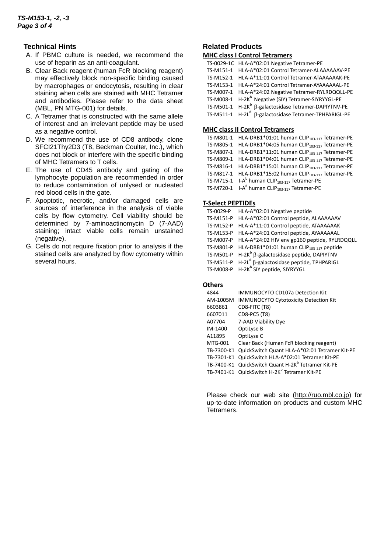## **Technical Hints**

- A.If PBMC culture is needed, we recommend the use of heparin as an anti-coagulant.
- B.Clear Back reagent (human FcR blocking reagent) may effectively block non-specific binding caused by macrophages or endocytosis, resulting in clear staining when cells are stained with MHC Tetramer and antibodies. Please refer to the data sheet (MBL, PN MTG-001) for details.
- C.A Tetramer that is constructed with the same allele of interest and an irrelevant peptide may be used as a negative control.
- D.We recommend the use of CD8 antibody, clone SFCI21Thy2D3 (T8, Beckman Coulter, Inc.), which does not block or interfere with the specific binding of MHC Tetramers to T cells.
- E.The use of CD45 antibody and gating of the lymphocyte population are recommended in order to reduce contamination of unlysed or nucleated red blood cells in the gate.
- F. Apoptotic, necrotic, and/or damaged cells are sources of interference in the analysis of viable cells by flow cytometry. Cell viability should be determined by 7-aminoactinomycin D (7-AAD) staining; intact viable cells remain unstained (negative).
- G.Cells do not require fixation prior to analysis if the stained cells are analyzed by flow cytometry within several hours.

## **Related Products MHC class I Control Tetramers**

| TS-0029-1C HLA-A*02:01 Negative Tetramer-PE                       |
|-------------------------------------------------------------------|
| TS-M151-1 HLA-A*02:01 Control Tetramer-ALAAAAAAV-PE               |
| TS-M152-1 HLA-A*11:01 Control Tetramer-ATAAAAAAK-PE               |
| TS-M153-1 HLA-A*24:01 Control Tetramer-AYAAAAAAL-PE               |
| TS-M007-1 HLA-A*24:02 Negative Tetramer-RYLRDQQLL-PE              |
| TS-M008-1 H-2K <sup>b</sup> Negative (SIY) Tetramer-SIYRYYGL-PE   |
| TS-M501-1 $H-2K^b$ $\beta$ -galactosidase Tetramer-DAPIYTNV-PE    |
| TS-M511-1 H-2L <sup>d</sup> B-galactosidase Tetramer-TPHPARIGL-PE |
|                                                                   |

#### **MHC class II Control Tetramers**

| TS-M801-1 HLA-DRB1*01:01 human CLIP <sub>103-117</sub> Tetramer-PE   |
|----------------------------------------------------------------------|
| TS-M805-1 HLA-DRB1*04:05 human CLIP <sub>103-117</sub> Tetramer-PE   |
| TS-M807-1 HLA-DRB1*11:01 human CLIP <sub>103-117</sub> Tetramer-PE   |
| TS-M809-1 HLA-DRB1*04:01 human CLIP <sub>103-117</sub> Tetramer-PE   |
| TS-M816-1 HLA-DRB1*15:01 human CLIP <sub>103-117</sub> Tetramer-PE   |
| TS-M817-1 HLA-DRB1*15:02 human CLIP <sub>103-117</sub> Tetramer-PE   |
| TS-M715-1 I-A <sup>b</sup> human CLIP <sub>103-117</sub> Tetramer-PE |
| TS-M720-1 I-A <sup>d</sup> human CLIP <sub>103-117</sub> Tetramer-PE |
|                                                                      |

## **T-Select PEPTIDEs**

| TS-0029-P | HLA-A*02:01 Negative peptide                                   |
|-----------|----------------------------------------------------------------|
| TS-M151-P | HLA-A*02:01 Control peptide, ALAAAAAAV                         |
| TS-M152-P | HLA-A*11:01 Control peptide, ATAAAAAAK                         |
| TS-M153-P | HLA-A*24:01 Control peptide, AYAAAAAAL                         |
|           | TS-M007-P HLA-A*24:02 HIV env gp160 peptide, RYLRDQQLL         |
|           | TS-M801-P HLA-DRB1*01:01 human CLIP <sub>103-117</sub> peptide |
|           | TS-M501-P $H-2K^b \beta$ -galactosidase peptide, DAPIYTNV      |
|           | TS-M511-P $H-2L^{d}$ $\beta$ -galactosidase peptide, TPHPARIGL |
|           | TS-M008-P H-2K <sup>b</sup> SIY peptide, SIYRYYGL              |

## **Others**

| 4844     | <b>IMMUNOCYTO CD107a Detection Kit</b>                         |
|----------|----------------------------------------------------------------|
| AM-1005M | <b>IMMUNOCYTO Cytotoxicity Detection Kit</b>                   |
| 6603861  | CD8-FITC (T8)                                                  |
| 6607011  | CD8-PC5 (T8)                                                   |
| A07704   | 7-AAD Viability Dye                                            |
| IM-1400  | OptiLyse B                                                     |
| A11895   | OptiLyse C                                                     |
| MTG-001  | Clear Back (Human FcR blocking reagent)                        |
|          | TB-7300-K1 QuickSwitch Quant HLA-A*02:01 Tetramer Kit-PE       |
|          | TB-7301-K1 QuickSwitch HLA-A*02:01 Tetramer Kit-PE             |
|          | TB-7400-K1 QuickSwitch Quant H-2K <sup>b</sup> Tetramer Kit-PE |
|          | TB-7401-K1 QuickSwitch H-2K <sup>b</sup> Tetramer Kit-PE       |

Please check our web site [\(http://ruo.mbl.co.jp\)](https://ruo.mbl.co.jp/) for up-to-date information on products and custom MHC Tetramers.